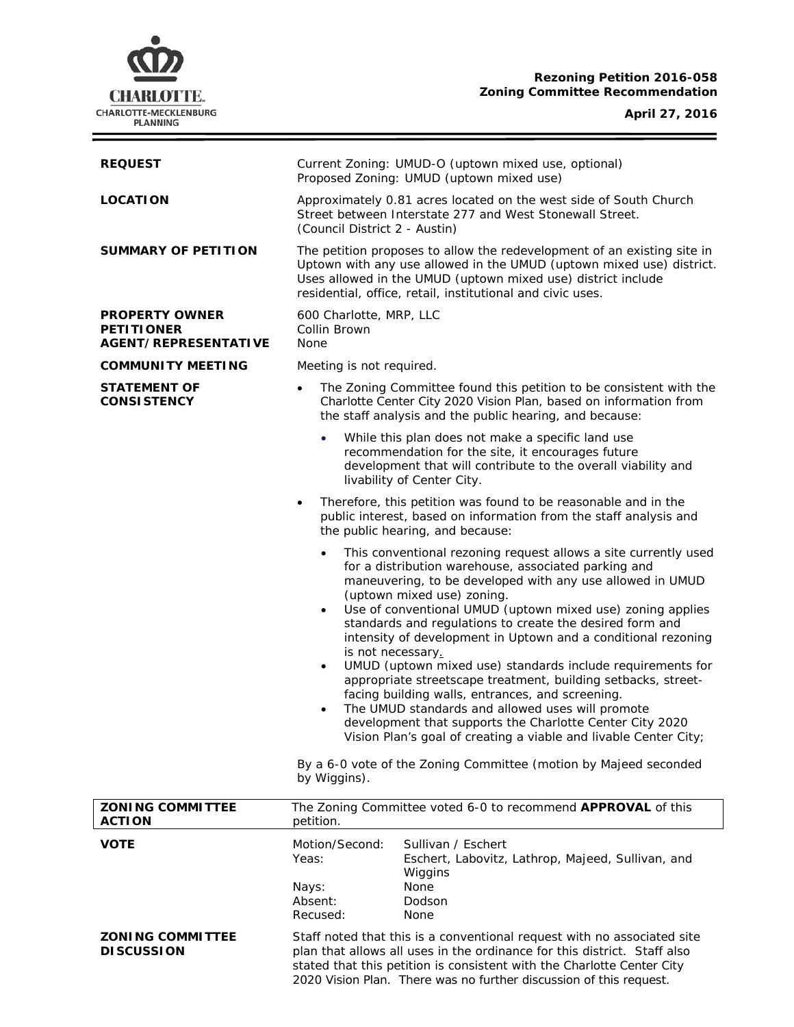# **CHARLOTTE.** CHARLOTTE-MECKLENBURG<br>PLANNING

# **Rezoning Petition 2016-058 Zoning Committee Recommendation**

# **April 27, 2016**

 $\equiv$ 

| <b>REQUEST</b>                                                     | Current Zoning: UMUD-O (uptown mixed use, optional)<br>Proposed Zoning: UMUD (uptown mixed use)                                                                                                                                                                                                                                                                                                                                                                                                                                                                                                                                                                                                                                                                                                                                                                                                                                      |
|--------------------------------------------------------------------|--------------------------------------------------------------------------------------------------------------------------------------------------------------------------------------------------------------------------------------------------------------------------------------------------------------------------------------------------------------------------------------------------------------------------------------------------------------------------------------------------------------------------------------------------------------------------------------------------------------------------------------------------------------------------------------------------------------------------------------------------------------------------------------------------------------------------------------------------------------------------------------------------------------------------------------|
| <b>LOCATION</b>                                                    | Approximately 0.81 acres located on the west side of South Church<br>Street between Interstate 277 and West Stonewall Street.<br>(Council District 2 - Austin)                                                                                                                                                                                                                                                                                                                                                                                                                                                                                                                                                                                                                                                                                                                                                                       |
| <b>SUMMARY OF PETITION</b>                                         | The petition proposes to allow the redevelopment of an existing site in<br>Uptown with any use allowed in the UMUD (uptown mixed use) district.<br>Uses allowed in the UMUD (uptown mixed use) district include<br>residential, office, retail, institutional and civic uses.                                                                                                                                                                                                                                                                                                                                                                                                                                                                                                                                                                                                                                                        |
| <b>PROPERTY OWNER</b><br><b>PETITIONER</b><br>AGENT/REPRESENTATIVE | 600 Charlotte, MRP, LLC<br>Collin Brown<br>None                                                                                                                                                                                                                                                                                                                                                                                                                                                                                                                                                                                                                                                                                                                                                                                                                                                                                      |
| <b>COMMUNITY MEETING</b>                                           | Meeting is not required.                                                                                                                                                                                                                                                                                                                                                                                                                                                                                                                                                                                                                                                                                                                                                                                                                                                                                                             |
| <b>STATEMENT OF</b><br><b>CONSISTENCY</b>                          | The Zoning Committee found this petition to be consistent with the<br>$\bullet$<br>Charlotte Center City 2020 Vision Plan, based on information from<br>the staff analysis and the public hearing, and because:                                                                                                                                                                                                                                                                                                                                                                                                                                                                                                                                                                                                                                                                                                                      |
|                                                                    | While this plan does not make a specific land use<br>recommendation for the site, it encourages future<br>development that will contribute to the overall viability and<br>livability of Center City.                                                                                                                                                                                                                                                                                                                                                                                                                                                                                                                                                                                                                                                                                                                                |
|                                                                    | Therefore, this petition was found to be reasonable and in the<br>٠<br>public interest, based on information from the staff analysis and<br>the public hearing, and because:                                                                                                                                                                                                                                                                                                                                                                                                                                                                                                                                                                                                                                                                                                                                                         |
|                                                                    | This conventional rezoning request allows a site currently used<br>$\bullet$<br>for a distribution warehouse, associated parking and<br>maneuvering, to be developed with any use allowed in UMUD<br>(uptown mixed use) zoning.<br>Use of conventional UMUD (uptown mixed use) zoning applies<br>$\bullet$<br>standards and regulations to create the desired form and<br>intensity of development in Uptown and a conditional rezoning<br>is not necessary.<br>UMUD (uptown mixed use) standards include requirements for<br>$\bullet$<br>appropriate streetscape treatment, building setbacks, street-<br>facing building walls, entrances, and screening.<br>The UMUD standards and allowed uses will promote<br>development that supports the Charlotte Center City 2020<br>Vision Plan's goal of creating a viable and livable Center City;<br>By a 6-0 vote of the Zoning Committee (motion by Majeed seconded<br>by Wiggins). |
| <b>ZONING COMMITTEE</b><br><b>ACTION</b>                           | The Zoning Committee voted 6-0 to recommend APPROVAL of this<br>petition.                                                                                                                                                                                                                                                                                                                                                                                                                                                                                                                                                                                                                                                                                                                                                                                                                                                            |
| <b>VOTE</b>                                                        | Motion/Second:<br>Sullivan / Eschert<br>Yeas:<br>Eschert, Labovitz, Lathrop, Majeed, Sullivan, and<br>Wiggins<br>None<br>Nays:<br>Absent:<br>Dodson<br>Recused:<br>None                                                                                                                                                                                                                                                                                                                                                                                                                                                                                                                                                                                                                                                                                                                                                              |
| <b>ZONING COMMITTEE</b><br><b>DISCUSSION</b>                       | Staff noted that this is a conventional request with no associated site<br>plan that allows all uses in the ordinance for this district. Staff also<br>stated that this petition is consistent with the Charlotte Center City<br>2020 Vision Plan. There was no further discussion of this request.                                                                                                                                                                                                                                                                                                                                                                                                                                                                                                                                                                                                                                  |